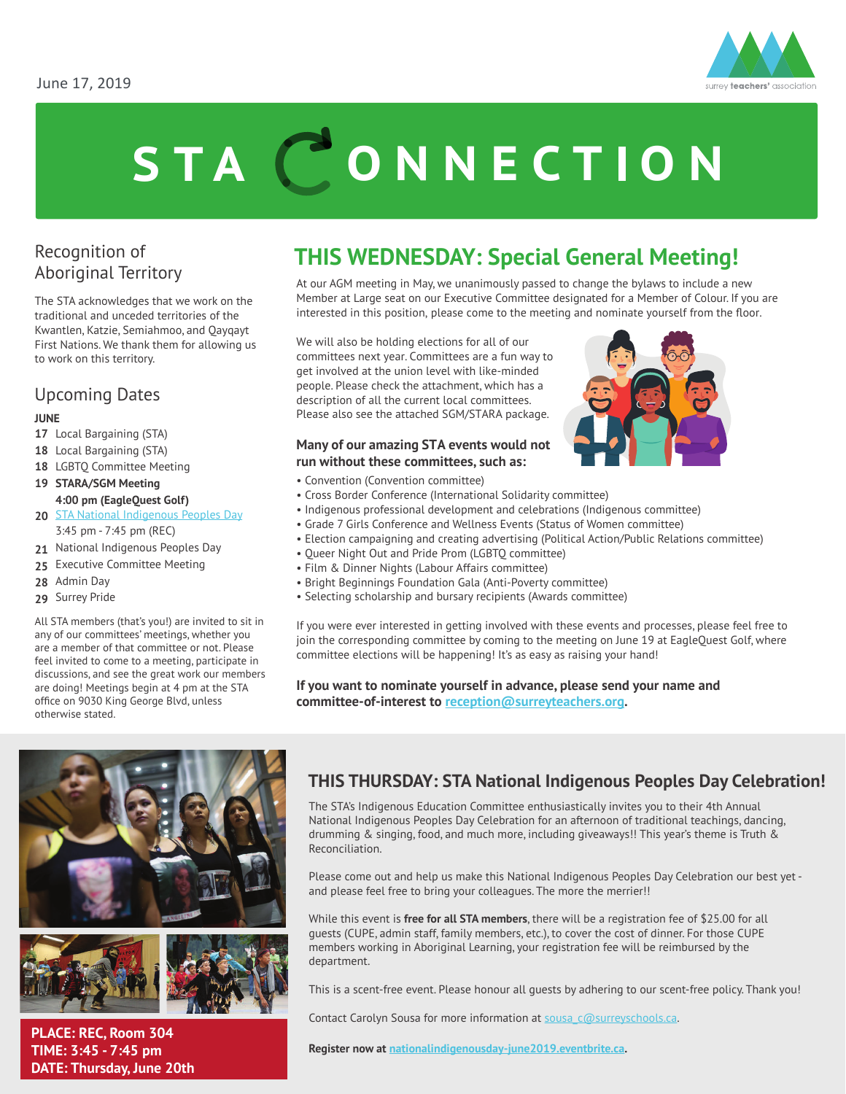

# STA CONNECTION

## Recognition of Aboriginal Territory

The STA acknowledges that we work on the traditional and unceded territories of the Kwantlen, Katzie, Semiahmoo, and Qayqayt First Nations. We thank them for allowing us to work on this territory.

# Upcoming Dates

#### **JUNE**

- **17** Local Bargaining (STA)
- **18** Local Bargaining (STA)
- **18** LGBTQ Committee Meeting
- **19 STARA/SGM Meeting 4:00 pm (EagleQuest Golf)**
- **20** [STA National Indigenous Peoples Day](https://nationalindigenousday-june2019.eventbrite.ca/) 3:45 pm - 7:45 pm (REC)
- **21** National Indigenous Peoples Day
- **25** Executive Committee Meeting
- **28** Admin Day
- **29** Surrey Pride

All STA members (that's you!) are invited to sit in any of our committees' meetings, whether you are a member of that committee or not. Please feel invited to come to a meeting, participate in discussions, and see the great work our members are doing! Meetings begin at 4 pm at the STA office on 9030 King George Blvd, unless otherwise stated.



At our AGM meeting in May, we unanimously passed to change the bylaws to include a new Member at Large seat on our Executive Committee designated for a Member of Colour. If you are interested in this position, please come to the meeting and nominate yourself from the floor.

We will also be holding elections for all of our committees next year. Committees are a fun way to get involved at the union level with like-minded people. Please check the attachment, which has a description of all the current local committees. Please also see the attached SGM/STARA package.

#### **Many of our amazing STA events would not run without these committees, such as:**

- Convention (Convention committee)
- Cross Border Conference (International Solidarity committee)
- Indigenous professional development and celebrations (Indigenous committee)
- Grade 7 Girls Conference and Wellness Events (Status of Women committee)
- Election campaigning and creating advertising (Political Action/Public Relations committee)
- Queer Night Out and Pride Prom (LGBTQ committee)
- Film & Dinner Nights (Labour Affairs committee)
- Bright Beginnings Foundation Gala (Anti-Poverty committee)
- Selecting scholarship and bursary recipients (Awards committee)

If you were ever interested in getting involved with these events and processes, please feel free to join the corresponding committee by coming to the meeting on June 19 at EagleQuest Golf, where committee elections will be happening! It's as easy as raising your hand!

**If you want to nominate yourself in advance, please send your name and committee-of-interest to reception@surreyteachers.org.**





**PLACE: REC, Room 304 TIME: 3:45 - 7:45 pm DATE: Thursday, June 20th** 

#### **THIS THURSDAY: STA National Indigenous Peoples Day Celebration!**

The STA's Indigenous Education Committee enthusiastically invites you to their 4th Annual National Indigenous Peoples Day Celebration for an afternoon of traditional teachings, dancing, drumming & singing, food, and much more, including giveaways!! This year's theme is Truth & Reconciliation.

Please come out and help us make this National Indigenous Peoples Day Celebration our best yet and please feel free to bring your colleagues. The more the merrier!!

While this event is **free for all STA members**, there will be a registration fee of \$25.00 for all guests (CUPE, admin staff, family members, etc.), to cover the cost of dinner. For those CUPE members working in Aboriginal Learning, your registration fee will be reimbursed by the department.

This is a scent-free event. Please honour all guests by adhering to our scent-free policy. Thank you!

Contact Carolyn Sousa for more information at sousa c@surreyschools.ca.

**Register now at [nationalindigenousday-june2019.eventbrite.ca.](https://nationalindigenousday-june2019.eventbrite.ca/)**

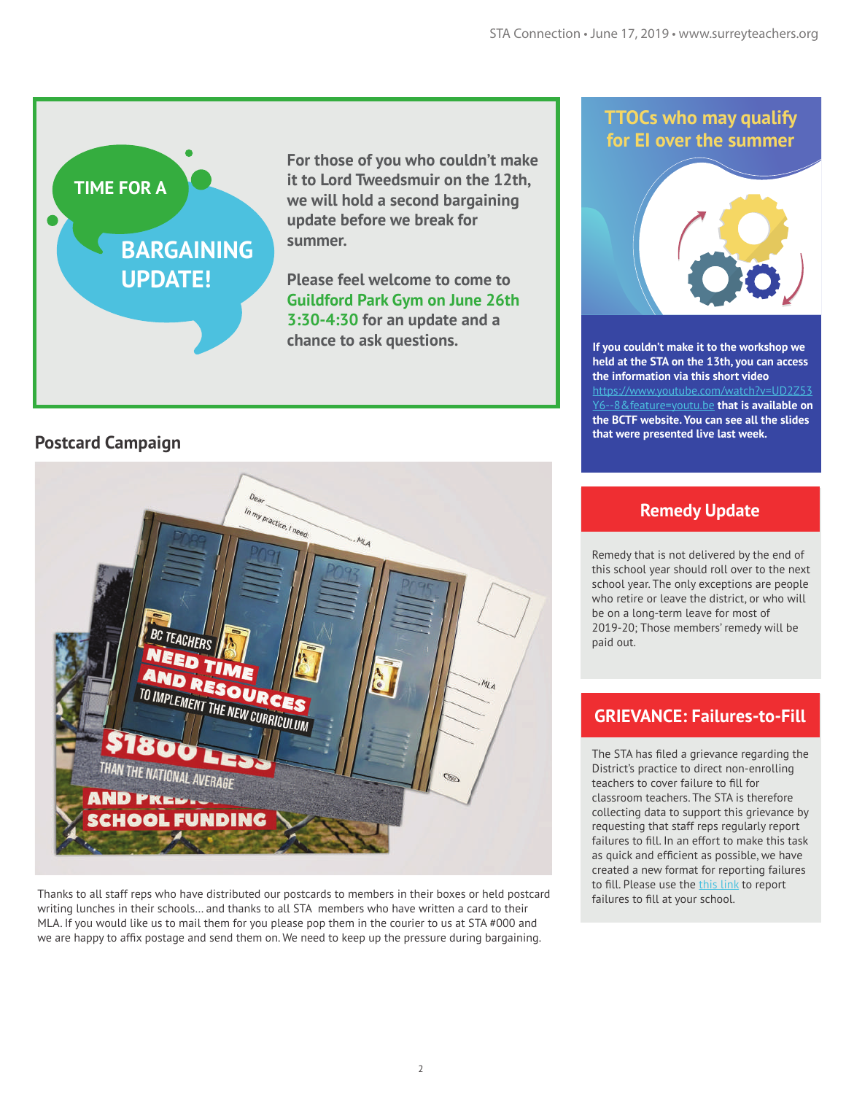# **BARGAINING UPDATE!**

**For those of you who couldn't make it to Lord Tweedsmuir on the 12th, we will hold a second bargaining update before we break for summer.** 

**Please feel welcome to come to Guildford Park Gym on June 26th 3:30-4:30 for an update and a chance to ask questions.** 

#### **Postcard Campaign**

**TIME FOR A** 



Thanks to all staff reps who have distributed our postcards to members in their boxes or held postcard writing lunches in their schools… and thanks to all STA members who have written a card to their MLA. If you would like us to mail them for you please pop them in the courier to us at STA #000 and we are happy to affix postage and send them on. We need to keep up the pressure during bargaining.

#### **TTOCs who may qualify for EI over the summer**



**If you couldn't make it to the workshop we held at the STA on the 13th, you can access the information via this short video**  https://www.youtube.com/watch?  $\frac{1}{2}$  feature=youtu.be **that is available on the BCTF website. You can see all the slides that were presented live last week.**

#### **Remedy Update**

Remedy that is not delivered by the end of this school year should roll over to the next school year. The only exceptions are people who retire or leave the district, or who will be on a long-term leave for most of 2019-20; Those members' remedy will be paid out.

#### **GRIEVANCE: Failures-to-Fill**

The STA has filed a grievance regarding the District's practice to direct non-enrolling teachers to cover failure to fill for classroom teachers. The STA is therefore collecting data to support this grievance by requesting that staff reps regularly report failures to fill. In an effort to make this task as quick and efficient as possible, we have created a new format for reporting failures to fill. Please use the [this link](https://docs.google.com/forms/d/e/1FAIpQLSfaM0t0AXyEZUyMpAt71QxCAd35PHT8Jf4uyw33jX8Clg0dWw/viewform) to report failures to fill at your school.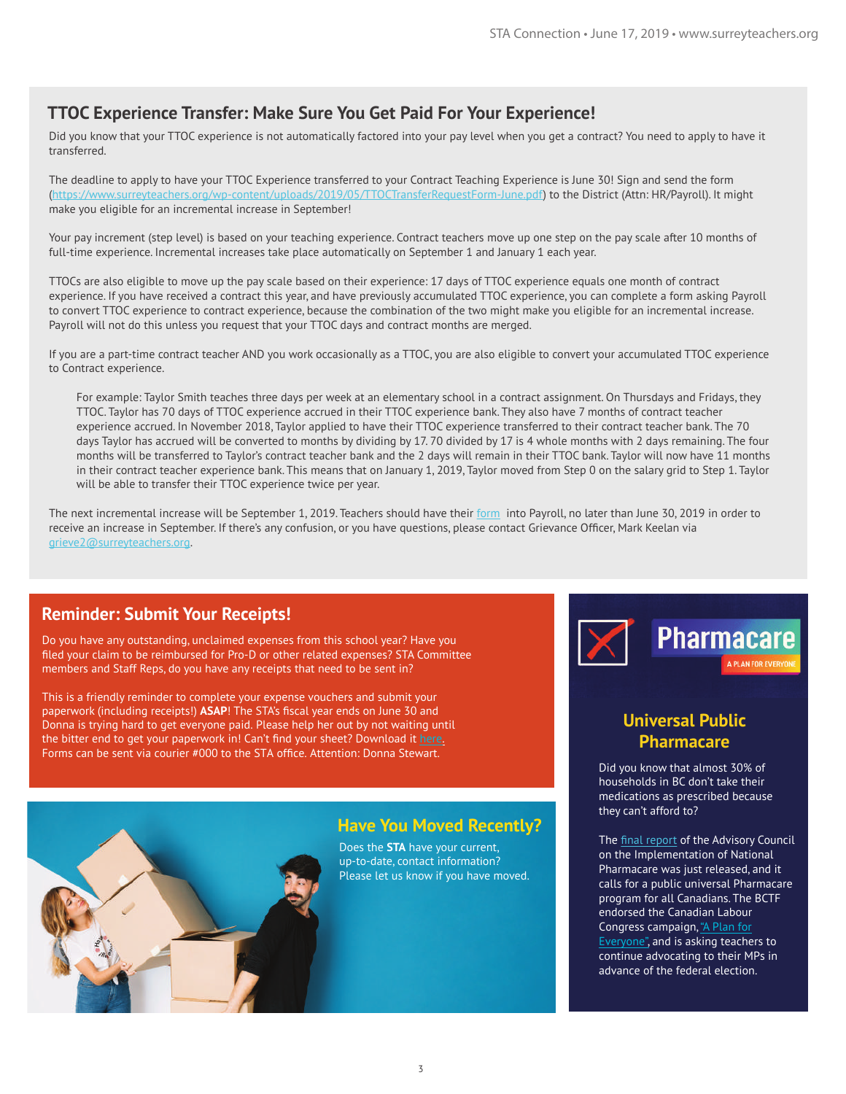#### **TTOC Experience Transfer: Make Sure You Get Paid For Your Experience!**

Did you know that your TTOC experience is not automatically factored into your pay level when you get a contract? You need to apply to have it transferred.

The deadline to apply to have your TTOC Experience transferred to your Contract Teaching Experience is June 30! Sign and send the form ([https://www.surreyteachers.org/wp-content/uploads/2019/05/TTOCTransferRequestForm-June.pdf\)](https://www.surreyteachers.org/wp-content/uploads/2019/05/TTOCTransferRequestForm-June.pdf) to the District (Attn: HR/Payroll). It might make you eligible for an incremental increase in September!

Your pay increment (step level) is based on your teaching experience. Contract teachers move up one step on the pay scale after 10 months of full-time experience. Incremental increases take place automatically on September 1 and January 1 each year.

TTOCs are also eligible to move up the pay scale based on their experience: 17 days of TTOC experience equals one month of contract experience. If you have received a contract this year, and have previously accumulated TTOC experience, you can complete a form asking Payroll to convert TTOC experience to contract experience, because the combination of the two might make you eligible for an incremental increase. Payroll will not do this unless you request that your TTOC days and contract months are merged.

If you are a part-time contract teacher AND you work occasionally as a TTOC, you are also eligible to convert your accumulated TTOC experience to Contract experience.

For example: Taylor Smith teaches three days per week at an elementary school in a contract assignment. On Thursdays and Fridays, they TTOC. Taylor has 70 days of TTOC experience accrued in their TTOC experience bank. They also have 7 months of contract teacher experience accrued. In November 2018, Taylor applied to have their TTOC experience transferred to their contract teacher bank. The 70 days Taylor has accrued will be converted to months by dividing by 17. 70 divided by 17 is 4 whole months with 2 days remaining. The four months will be transferred to Taylor's contract teacher bank and the 2 days will remain in their TTOC bank. Taylor will now have 11 months in their contract teacher experience bank. This means that on January 1, 2019, Taylor moved from Step 0 on the salary grid to Step 1. Taylor will be able to transfer their TTOC experience twice per year.

The next incremental increase will be September 1, 2019. Teachers should have their [form](https://www.surreyteachers.org/wp-content/uploads/2019/05/TTOCTransferRequestForm-June.pdf) into Payroll, no later than June 30, 2019 in order to receive an increase in September. If there's any confusion, or you have questions, please contact Grievance Officer, Mark Keelan via grieve2@surreyteachers.org.

#### **Reminder: Submit Your Receipts!**

Do you have any outstanding, unclaimed expenses from this school year? Have you filed your claim to be reimbursed for Pro-D or other related expenses? STA Committee members and Staff Reps, do you have any receipts that need to be sent in?

This is a friendly reminder to complete your expense vouchers and submit your paperwork (including receipts!) **ASAP**! The STA's fiscal year ends on June 30 and Donna is trying hard to get everyone paid. Please help her out by not waiting until the bitter end to get your paperwork in! Can't find your sheet? Download it [here.](https://www.surreyteachers.org/wp-content/uploads/2018/10/STA-ExpenseVoucher-2018-19.pdf) Forms can be sent via courier #000 to the STA office. Attention: Donna Stewart.



#### **Have You Moved Recently?**

Does the **STA** have your current, up-to-date, contact information? Please let us know if you have moved.



#### **Universal Public Pharmacare**

Did you know that almost 30% of households in BC don't take their medications as prescribed because they can't afford to?

The [final report](https://www.canada.ca/en/health-canada/corporate/about-health-canada/public-engagement/external-advisory-bodies/implementation-national-pharmacare/final-report.html) of the Advisory Council on the Implementation of National Pharmacare was just released, and it calls for a public universal Pharmacare program for all Canadians. The BCTF endorsed the Canadian Labour Congress campaign, "A Plan for Everyone", and is asking teachers to continue advocating to their MPs in advance of the federal election.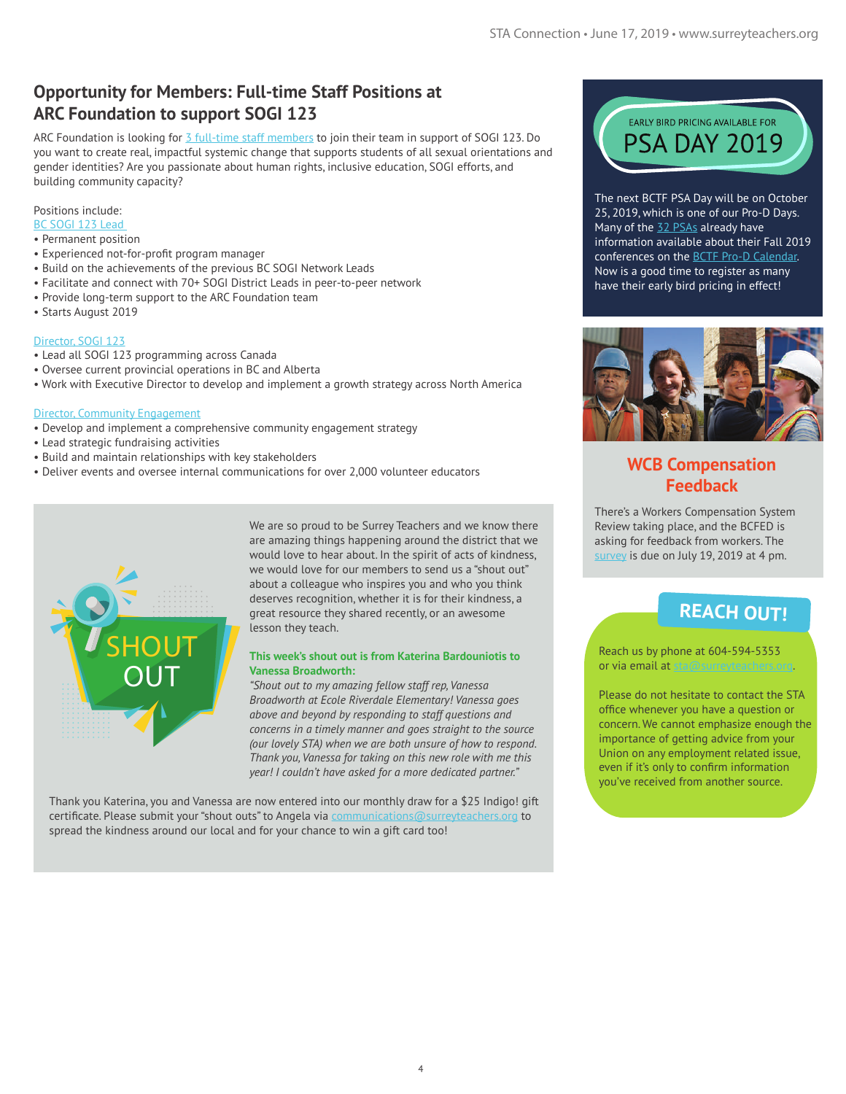# **Opportunity for Members: Full-time Staff Positions at ARC Foundation to support SOGI 123**

ARC Foundation is looking for [3 full-time staff members](https://www.sogieducation.org/careers) to join their team in support of SOGI 123. Do you want to create real, impactful systemic change that supports students of all sexual orientations and gender identities? Are you passionate about human rights, inclusive education, SOGI efforts, and building community capacity?

#### Positions include:

- [BC SOGI 123 Lead](https://www.sogieducation.org/bc-sogi-1-2-3-1)
- Permanent position
- Experienced not-for-profit program manager
- Build on the achievements of the previous BC SOGI Network Leads
- Facilitate and connect with 70+ SOGI District Leads in peer-to-peer network
- Provide long-term support to the ARC Foundation team
- Starts August 2019

#### [Director, SOGI 123](https://www.sogieducation.org/director-sogi123)

- Lead all SOGI 123 programming across Canada
- Oversee current provincial operations in BC and Alberta
- Work with Executive Director to develop and implement a growth strategy across North America

#### [Director, Community Engagement](https://www.sogieducation.org/director-community-engagement)

- Develop and implement a comprehensive community engagement strategy
- Lead strategic fundraising activities
- Build and maintain relationships with key stakeholders
- Deliver events and oversee internal communications for over 2,000 volunteer educators



We are so proud to be Surrey Teachers and we know there are amazing things happening around the district that we would love to hear about. In the spirit of acts of kindness, we would love for our members to send us a "shout out" about a colleague who inspires you and who you think deserves recognition, whether it is for their kindness, a great resource they shared recently, or an awesome lesson they teach.

#### **This week's shout out is from Katerina Bardouniotis to Vanessa Broadworth:**

*"Shout out to my amazing fellow staff rep, Vanessa Broadworth at Ecole Riverdale Elementary! Vanessa goes above and beyond by responding to staff questions and concerns in a timely manner and goes straight to the source (our lovely STA) when we are both unsure of how to respond. Thank you, Vanessa for taking on this new role with me this year! I couldn't have asked for a more dedicated partner."* 

Thank you Katerina, you and Vanessa are now entered into our monthly draw for a \$25 Indigo! gift certificate. Please submit your "shout outs" to Angela via communications@surreyteachers.org to spread the kindness around our local and for your chance to win a gift card too!



The next BCTF PSA Day will be on October 25, 2019, which is one of our Pro-D Days. Many of the [32 PSAs](https://bctf.ca/PSAs.aspx) already have information available about their Fall 2019 conferences on the [BCTF Pro-D Calendar](https://bctf.ca/PDCalendar/index.cfm?action=month&month=10&year=2019). Now is a good time to register as many have their early bird pricing in effect!



## **WCB Compensation Feedback**

There's a Workers Compensation System Review taking place, and the BCFED is asking for feedback from workers. The [survey](https://engage.gov.bc.ca/workerscompensationreview/) is due on July 19, 2019 at 4 pm.

# **REACH OUT!**

Reach us by phone at 604-594-5353 or via email at sta@surreyteachers.org.

Please do not hesitate to contact the STA office whenever you have a question or concern. We cannot emphasize enough the importance of getting advice from your Union on any employment related issue, even if it's only to confirm information you've received from another source.